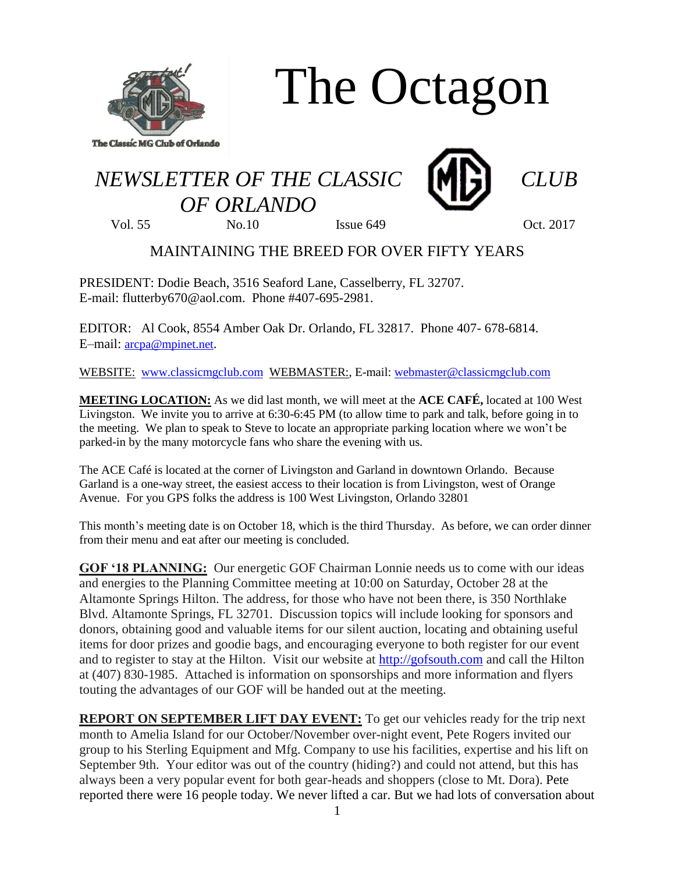

The Octagon

## *NEWSLETTER OF THE CLASSIC CLUB OF ORLANDO*



Vol. 55 No.10 Issue 649 Oct. 2017

## MAINTAINING THE BREED FOR OVER FIFTY YEARS

PRESIDENT: Dodie Beach, 3516 Seaford Lane, Casselberry, FL 32707. E-mail: flutterby670@aol.com. Phone #407-695-2981.

EDITOR: Al Cook, 8554 Amber Oak Dr. Orlando, FL 32817. Phone 407- 678-6814. E–mail: [arcpa@mpinet.net](mailto:arcpa@mpinet.net).

WEBSITE: [www.classicmgclub.com](http://www.classicmgclub.com/) WEBMASTER:, E-mail[: webmaster@classicmgclub.com](mailto:webmaster@classicmgclub.com)

**MEETING LOCATION:** As we did last month, we will meet at the **ACE CAFÉ,** located at 100 West Livingston. We invite you to arrive at 6:30-6:45 PM (to allow time to park and talk, before going in to the meeting. We plan to speak to Steve to locate an appropriate parking location where we won't be parked-in by the many motorcycle fans who share the evening with us.

The ACE Café is located at the corner of Livingston and Garland in downtown Orlando. Because Garland is a one-way street, the easiest access to their location is from Livingston, west of Orange Avenue. For you GPS folks the address is 100 West Livingston, Orlando 32801

This month's meeting date is on October 18, which is the third Thursday. As before, we can order dinner from their menu and eat after our meeting is concluded.

**GOF '18 PLANNING:** Our energetic GOF Chairman Lonnie needs us to come with our ideas and energies to the Planning Committee meeting at 10:00 on Saturday, October 28 at the Altamonte Springs Hilton. The address, for those who have not been there, is 350 Northlake Blvd. Altamonte Springs, FL 32701. Discussion topics will include looking for sponsors and donors, obtaining good and valuable items for our silent auction, locating and obtaining useful items for door prizes and goodie bags, and encouraging everyone to both register for our event and to register to stay at the Hilton. Visit our website at [http://gofsouth.com](http://gofsouth.com/) and call the Hilton at (407) 830-1985. Attached is information on sponsorships and more information and flyers touting the advantages of our GOF will be handed out at the meeting.

**REPORT ON SEPTEMBER LIFT DAY EVENT:** To get our vehicles ready for the trip next month to Amelia Island for our October/November over-night event, Pete Rogers invited our group to his Sterling Equipment and Mfg. Company to use his facilities, expertise and his lift on September 9th. Your editor was out of the country (hiding?) and could not attend, but this has always been a very popular event for both gear-heads and shoppers (close to Mt. Dora). Pete reported there were 16 people today. We never lifted a car. But we had lots of conversation about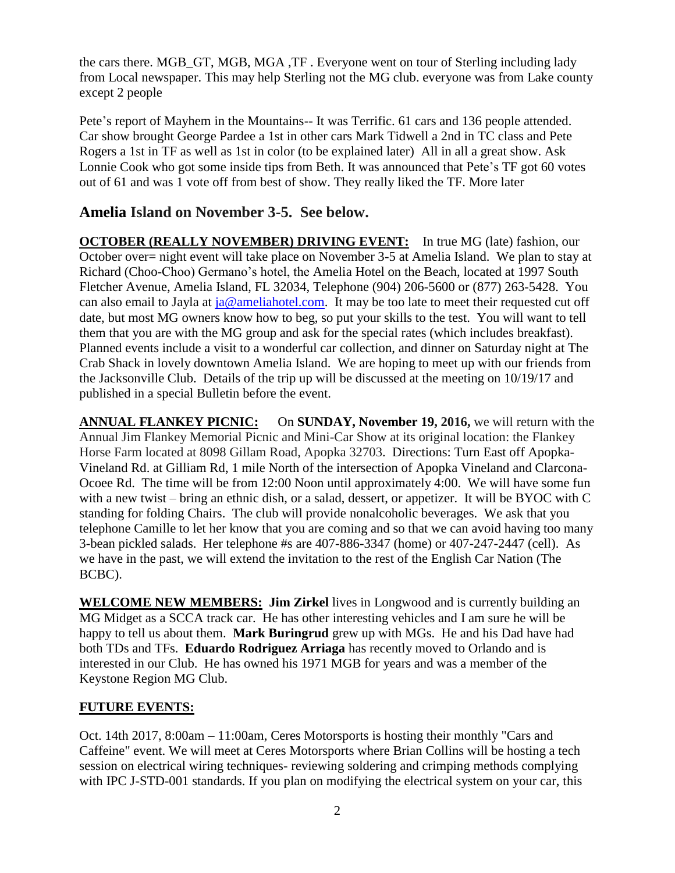the cars there. MGB\_GT, MGB, MGA ,TF . Everyone went on tour of Sterling including lady from Local newspaper. This may help Sterling not the MG club. everyone was from Lake county except 2 people

Pete's report of Mayhem in the Mountains-- It was Terrific. 61 cars and 136 people attended. Car show brought George Pardee a 1st in other cars Mark Tidwell a 2nd in TC class and Pete Rogers a 1st in TF as well as 1st in color (to be explained later) All in all a great show. Ask Lonnie Cook who got some inside tips from Beth. It was announced that Pete's TF got 60 votes out of 61 and was 1 vote off from best of show. They really liked the TF. More later

## **Amelia Island on November 3-5. See below.**

**OCTOBER (REALLY NOVEMBER) DRIVING EVENT:** In true MG (late) fashion, our October over= night event will take place on November 3-5 at Amelia Island. We plan to stay at Richard (Choo-Choo) Germano's hotel, the Amelia Hotel on the Beach, located at 1997 South Fletcher Avenue, Amelia Island, FL 32034, Telephone (904) 206-5600 or (877) 263-5428. You can also email to Jayla at  $ja@amelialoted.com$ . It may be too late to meet their requested cut off date, but most MG owners know how to beg, so put your skills to the test. You will want to tell them that you are with the MG group and ask for the special rates (which includes breakfast). Planned events include a visit to a wonderful car collection, and dinner on Saturday night at The Crab Shack in lovely downtown Amelia Island. We are hoping to meet up with our friends from the Jacksonville Club. Details of the trip up will be discussed at the meeting on 10/19/17 and published in a special Bulletin before the event.

**ANNUAL FLANKEY PICNIC:** On **SUNDAY, November 19, 2016,** we will return with the Annual Jim Flankey Memorial Picnic and Mini-Car Show at its original location: the Flankey Horse Farm located at 8098 Gillam Road, Apopka 32703. Directions: Turn East off Apopka-Vineland Rd. at Gilliam Rd, 1 mile North of the intersection of Apopka Vineland and Clarcona-Ocoee Rd. The time will be from 12:00 Noon until approximately 4:00. We will have some fun with a new twist – bring an ethnic dish, or a salad, dessert, or appetizer. It will be BYOC with C standing for folding Chairs. The club will provide nonalcoholic beverages. We ask that you telephone Camille to let her know that you are coming and so that we can avoid having too many 3-bean pickled salads. Her telephone #s are 407-886-3347 (home) or 407-247-2447 (cell). As we have in the past, we will extend the invitation to the rest of the English Car Nation (The BCBC).

**WELCOME NEW MEMBERS: Jim Zirkel** lives in Longwood and is currently building an MG Midget as a SCCA track car. He has other interesting vehicles and I am sure he will be happy to tell us about them. **Mark Buringrud** grew up with MGs. He and his Dad have had both TDs and TFs. **Eduardo Rodriguez Arriaga** has recently moved to Orlando and is interested in our Club. He has owned his 1971 MGB for years and was a member of the Keystone Region MG Club.

## **FUTURE EVENTS:**

Oct. 14th 2017, 8:00am – 11:00am, Ceres Motorsports is hosting their monthly "Cars and Caffeine" event. We will meet at Ceres Motorsports where Brian Collins will be hosting a tech session on electrical wiring techniques- reviewing soldering and crimping methods complying with IPC J-STD-001 standards. If you plan on modifying the electrical system on your car, this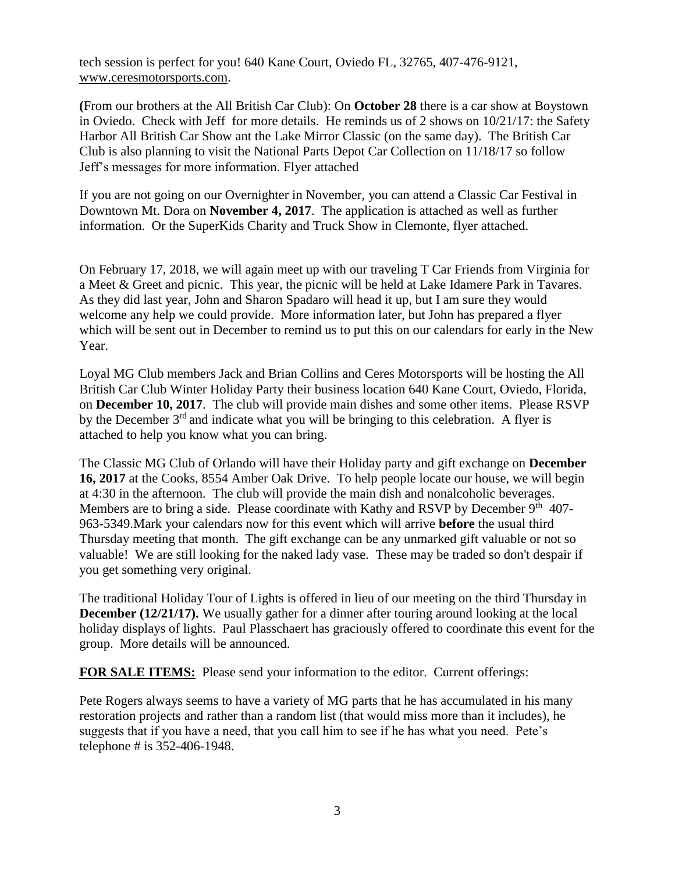tech session is perfect for you! 640 Kane Court, Oviedo FL, 32765, 407-476-9121, [www.ceresmotorsports.com.](http://www.ceresmotorsports.com/) 

**(**From our brothers at the All British Car Club): On **October 28** there is a car show at Boystown in Oviedo. Check with Jeff for more details. He reminds us of 2 shows on 10/21/17: the Safety Harbor All British Car Show ant the Lake Mirror Classic (on the same day). The British Car Club is also planning to visit the National Parts Depot Car Collection on 11/18/17 so follow Jeff's messages for more information. Flyer attached

If you are not going on our Overnighter in November, you can attend a Classic Car Festival in Downtown Mt. Dora on **November 4, 2017**. The application is attached as well as further information. Or the SuperKids Charity and Truck Show in Clemonte, flyer attached.

On February 17, 2018, we will again meet up with our traveling T Car Friends from Virginia for a Meet & Greet and picnic. This year, the picnic will be held at Lake Idamere Park in Tavares. As they did last year, John and Sharon Spadaro will head it up, but I am sure they would welcome any help we could provide. More information later, but John has prepared a flyer which will be sent out in December to remind us to put this on our calendars for early in the New Year.

Loyal MG Club members Jack and Brian Collins and Ceres Motorsports will be hosting the All British Car Club Winter Holiday Party their business location 640 Kane Court, Oviedo, Florida, on **December 10, 2017**. The club will provide main dishes and some other items. Please RSVP by the December 3<sup>rd</sup> and indicate what you will be bringing to this celebration. A flyer is attached to help you know what you can bring.

The Classic MG Club of Orlando will have their Holiday party and gift exchange on **December 16, 2017** at the Cooks, 8554 Amber Oak Drive. To help people locate our house, we will begin at 4:30 in the afternoon. The club will provide the main dish and nonalcoholic beverages. Members are to bring a side. Please coordinate with Kathy and RSVP by December  $9<sup>th</sup> 407$ -963-5349.Mark your calendars now for this event which will arrive **before** the usual third Thursday meeting that month. The gift exchange can be any unmarked gift valuable or not so valuable! We are still looking for the naked lady vase. These may be traded so don't despair if you get something very original.

The traditional Holiday Tour of Lights is offered in lieu of our meeting on the third Thursday in **December (12/21/17).** We usually gather for a dinner after touring around looking at the local holiday displays of lights. Paul Plasschaert has graciously offered to coordinate this event for the group. More details will be announced.

**FOR SALE ITEMS:** Please send your information to the editor. Current offerings:

Pete Rogers always seems to have a variety of MG parts that he has accumulated in his many restoration projects and rather than a random list (that would miss more than it includes), he suggests that if you have a need, that you call him to see if he has what you need. Pete's telephone # is 352-406-1948.